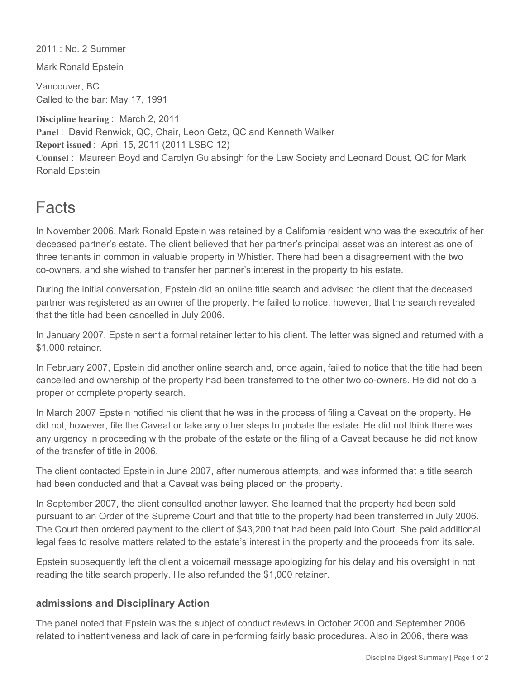2011 : No. 2 Summer Mark Ronald Epstein Vancouver, BC Called to the bar: May 17, 1991 **Discipline hearing** : March 2, 2011 Panel : David Renwick, QC, Chair, Leon Getz, QC and Kenneth Walker **Report issued** : April 15, 2011 (2011 LSBC 12) **Counsel** : Maureen Boyd and Carolyn Gulabsingh for the Law Society and Leonard Doust, QC for Mark Ronald Epstein

## Facts

In November 2006, Mark Ronald Epstein was retained by a California resident who was the executrix of her deceased partner's estate. The client believed that her partner's principal asset was an interest as one of three tenants in common in valuable property in Whistler. There had been a disagreement with the two co-owners, and she wished to transfer her partner's interest in the property to his estate.

During the initial conversation, Epstein did an online title search and advised the client that the deceased partner was registered as an owner of the property. He failed to notice, however, that the search revealed that the title had been cancelled in July 2006.

In January 2007, Epstein sent a formal retainer letter to his client. The letter was signed and returned with a \$1,000 retainer.

In February 2007, Epstein did another online search and, once again, failed to notice that the title had been cancelled and ownership of the property had been transferred to the other two co-owners. He did not do a proper or complete property search.

In March 2007 Epstein notified his client that he was in the process of filing a Caveat on the property. He did not, however, file the Caveat or take any other steps to probate the estate. He did not think there was any urgency in proceeding with the probate of the estate or the filing of a Caveat because he did not know of the transfer of title in 2006.

The client contacted Epstein in June 2007, after numerous attempts, and was informed that a title search had been conducted and that a Caveat was being placed on the property.

In September 2007, the client consulted another lawyer. She learned that the property had been sold pursuant to an Order of the Supreme Court and that title to the property had been transferred in July 2006. The Court then ordered payment to the client of \$43,200 that had been paid into Court. She paid additional legal fees to resolve matters related to the estate's interest in the property and the proceeds from its sale.

Epstein subsequently left the client a voicemail message apologizing for his delay and his oversight in not reading the title search properly. He also refunded the \$1,000 retainer.

## **admissions and Disciplinary Action**

The panel noted that Epstein was the subject of conduct reviews in October 2000 and September 2006 related to inattentiveness and lack of care in performing fairly basic procedures. Also in 2006, there was